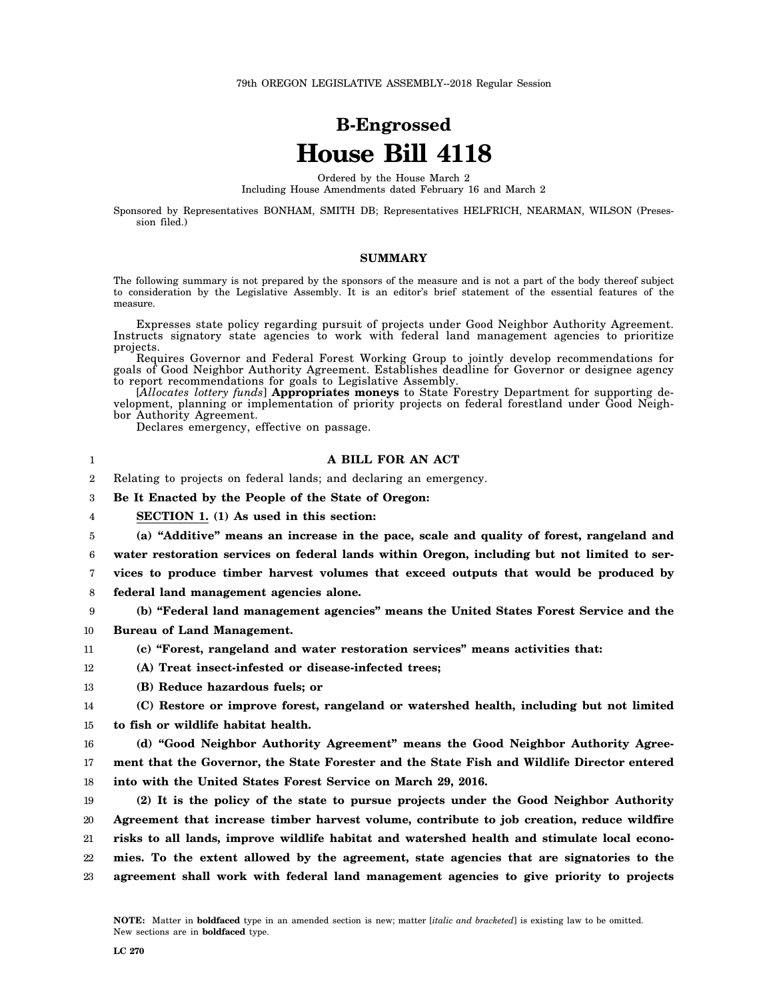## **B-Engrossed House Bill 4118**

Ordered by the House March 2

Including House Amendments dated February 16 and March 2

Sponsored by Representatives BONHAM, SMITH DB; Representatives HELFRICH, NEARMAN, WILSON (Presession filed.)

## **SUMMARY**

The following summary is not prepared by the sponsors of the measure and is not a part of the body thereof subject to consideration by the Legislative Assembly. It is an editor's brief statement of the essential features of the measure.

Expresses state policy regarding pursuit of projects under Good Neighbor Authority Agreement. Instructs signatory state agencies to work with federal land management agencies to prioritize projects.

Requires Governor and Federal Forest Working Group to jointly develop recommendations for goals of Good Neighbor Authority Agreement. Establishes deadline for Governor or designee agency to report recommendations for goals to Legislative Assembly.

[*Allocates lottery funds*] **Appropriates moneys** to State Forestry Department for supporting development, planning or implementation of priority projects on federal forestland under Good Neighbor Authority Agreement.

Declares emergency, effective on passage.

## **A BILL FOR AN ACT**

2 Relating to projects on federal lands; and declaring an emergency.

3 **Be It Enacted by the People of the State of Oregon:**

4 **SECTION 1. (1) As used in this section:**

5 **(a) "Additive" means an increase in the pace, scale and quality of forest, rangeland and**

6 **water restoration services on federal lands within Oregon, including but not limited to ser-**

- 7 **vices to produce timber harvest volumes that exceed outputs that would be produced by**
- 8 **federal land management agencies alone.**
- 9 10 **(b) "Federal land management agencies" means the United States Forest Service and the Bureau of Land Management.**
- 11 **(c) "Forest, rangeland and water restoration services" means activities that:**
- 12 **(A) Treat insect-infested or disease-infected trees;**
- 13 **(B) Reduce hazardous fuels; or**

## 14 15 **(C) Restore or improve forest, rangeland or watershed health, including but not limited to fish or wildlife habitat health.**

16 17 **(d) "Good Neighbor Authority Agreement" means the Good Neighbor Authority Agreement that the Governor, the State Forester and the State Fish and Wildlife Director entered**

18 **into with the United States Forest Service on March 29, 2016.**

19 20 21 22 23 **(2) It is the policy of the state to pursue projects under the Good Neighbor Authority Agreement that increase timber harvest volume, contribute to job creation, reduce wildfire risks to all lands, improve wildlife habitat and watershed health and stimulate local economies. To the extent allowed by the agreement, state agencies that are signatories to the agreement shall work with federal land management agencies to give priority to projects**

1